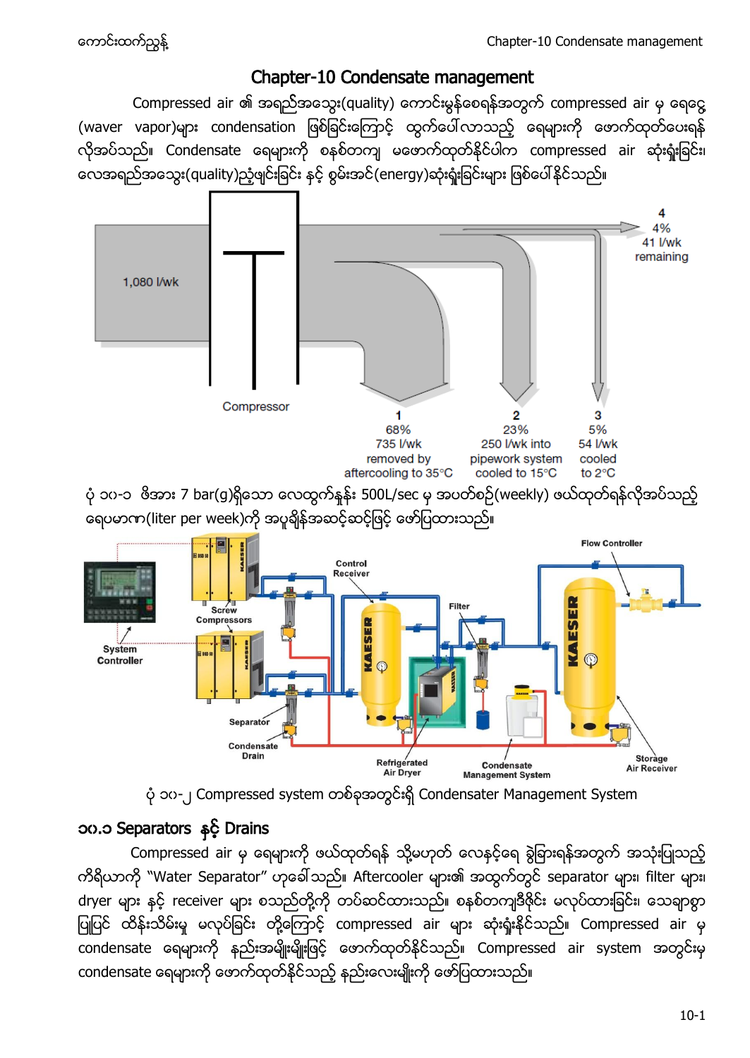## Chapter-10 Condensate management

Compressed air ၏ အရည်အသွေး(quality) ကောင်းမွန်စေရန်အတွက် compressed air မှ ရေငွေ (waver vapor)များ condensation ဖြစ်ခြင်းကြောင့် ထွက်ပေါ်လာသည့် ရေများကို ဖောက်ထုတ်ပေးရန် လိုအပ်သည်။ Condensate ရေများကို စနစ်တကျ မဖောက်ထုတ်နိုင်ပါက compressed air ဆုံးရှုံးခြင်း၊ လေအရည်အသွေး(quality)ညံ့ဖျင်းခြင်း နှင့် စွမ်းအင်(energy)ဆုံးရုံးခြင်းများ ဖြစ်ပေါ်နိုင်သည်။



ပုံ ၁၀-၂ Compressed system တစ်ခုအတွင်းရှိ Condensater Management System

## ၁၀.၁ Separators နှင့် Drains

Compressed air မှ ရေများကို ဖယ်ထုတ်ရန် သို့မဟုတ် လေနင့်ရေ ခွဲခြားရန်အတွက် အသုံးပြုသည့် ကိရိယာကို "Water Separator" ဟုခေါ် သည်။ Aftercooler များ၏ အထွက်တွင် separator များ၊ filter များ၊ dryer များ နှင့် receiver များ စသည်တို့ကို တပ်ဆင်ထားသည်။ စနစ်တကျဒီဇိုင်း မလုပ်ထားခြင်း၊ သေချာစွာ ပြုပြင် ထိန်းသိမ်းမှု မလုပ်ခြင်း တို့ကြောင့် compressed air များ ဆုံးရုံးနိုင်သည်။ Compressed air မှ condensate ရေများကို နည်းအမျိုးမျိုးဖြင့် ဖောက်ထုတ်နိုင်သည်။ Compressed air system အတွင်းမှ condensate ရေများကို ဖောက်ထုတ်နိုင်သည့် နည်းလေးမျိုးကို ဖော်ပြထားသည်။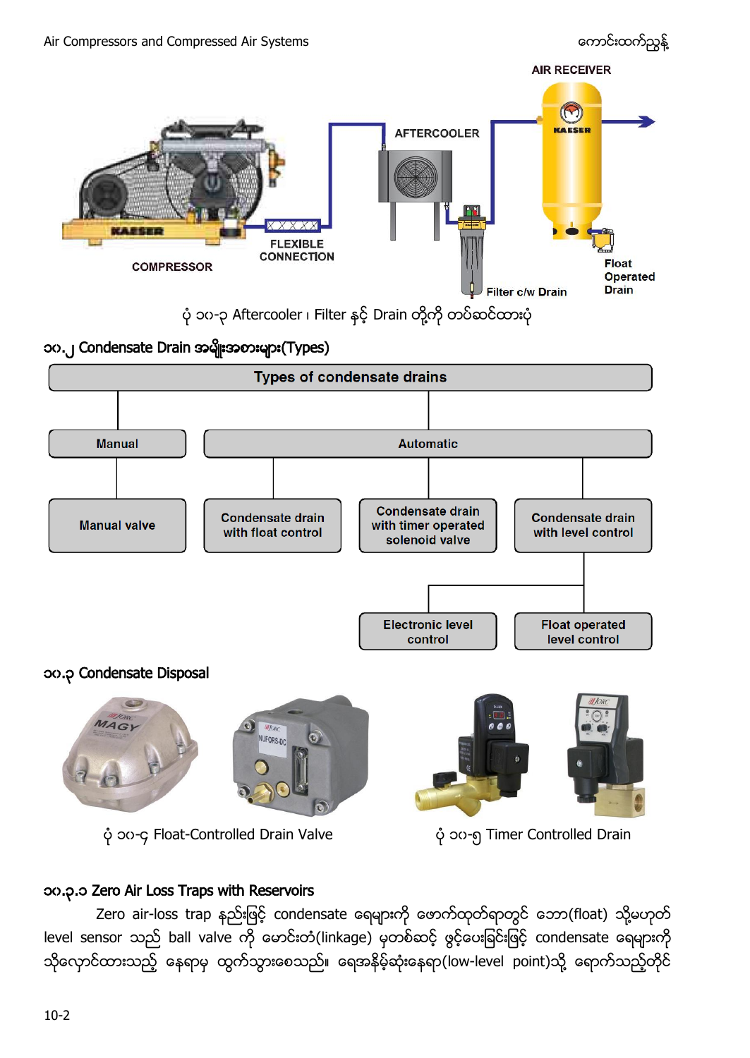

#### ၁၀.၃.၁ Zero Air Loss Traps with Reservoirs

Zero air-loss trap နည်းဖြင့် condensate ရေများကို ဖောက်ထုတ်ရာတွင် ဘော(float) သို့မဟုတ် level sensor သည် ball valve ကို မောင်းတံ(linkage) မှတစ်ဆင့် ဖွင့်ပေးခြင်းဖြင့် condensate ရေများကို သိုလှောင်ထားသည့် နေရာမှ ထွက်သွားစေသည်။ ရေအနိမ့်ဆုံးနေရာ(low-level point)သို့ ရောက်သည့်တိုင်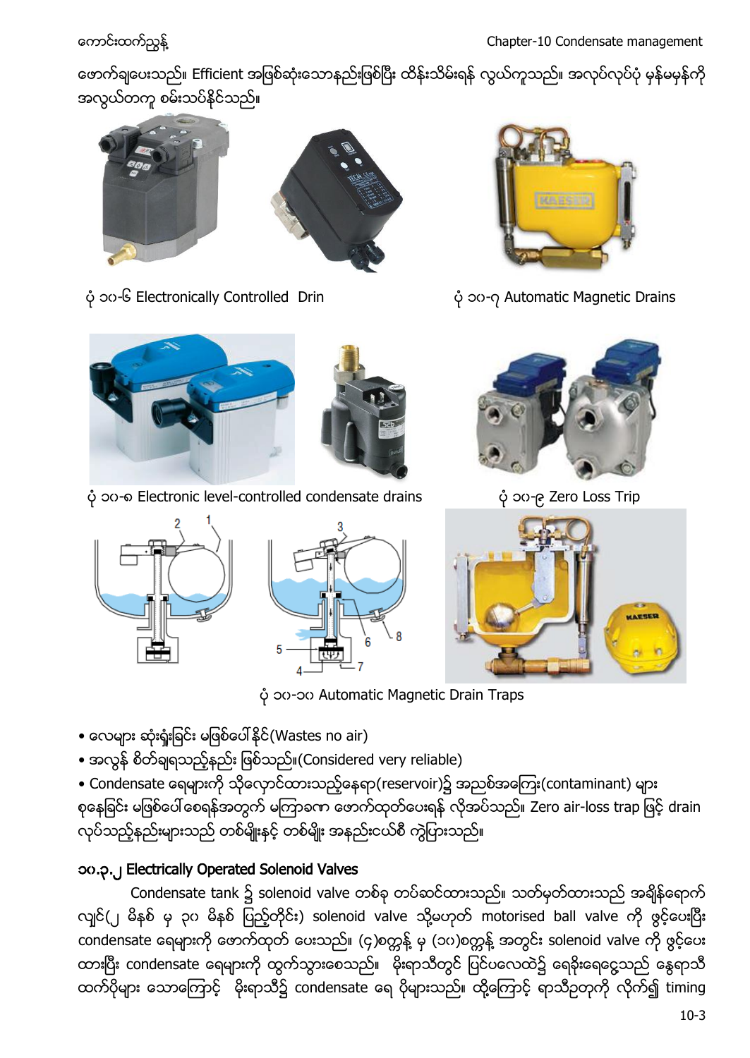တေက်ရျပေးသည်။ Efficient အဖြစ်ဆုံးသောနည်းဖြစ်ပြီး ထိန်းသိမ်းရန် လွယ်ကူသည်။ အလုပ်လုပ်ပုံ မှန်မမှန်ကို အလွယ်တကူ စမ်းသပ်နိုင်သည်။





၁၀-၆ Electronically Controlled Drin ၁၀-၇ Automatic Magnetic Drains





၁၀-၈ Electronic level-controlled condensate drains ၁၀-၉ Zero Loss Trip





၁၀-၁၀ Automatic Magnetic Drain Traps

- လေများ ဆုံးရှုံးခြင်း မဖြစ်ပေါ်နိုင်(Wastes no air)
- $\bullet$  အလွန် စိတ်ချရသည့်နည်း ဖြစ်သည်။(Considered very reliable)

• Condensate ရေများကို သိုလှောင်ထားသည့်နေရာ(reservoir)၌ အညစ်အကြေး(contaminant) များ စုနေခြင်း မဖြစ်ပေါ် စေရန်အတွက် မကြာခက ဖောက်ထုတ်ပေးရန် လိုအပ်သည်။ Zero air-loss trap ဖြင့် drain .<br>လုပ်သည့်နည်းများသည် တစ်မျိုးနှင့် တစ်မျိုး အနည်းငယ်စီ ကွဲပြားသည်။

## ၁၀.၃.၂ Electrically Operated Solenoid Valves

Condensate tank ၌ solenoid valve တစ်ခု တပ်ဆင်ထားသည်။ သတ်မှတ်ထားသည် အချိန်ရောက် လျင်(၂ မိနစ် မှ ၃၀ မိနစ် ပြည့်တိုင်း) solenoid valve သို့မဟုတ် motorised ball valve ကို ဖွင့်ပေးပြီး condensate ရေများကို ဖောက်ထုတ် ပေးသည်။ (၄)စက္တန့် မှ (၁၀)စက္တန့် အတွင်း solenoid valve ကို ဖွင့်ပေး ထားပြီး condensate ရေများကို ထွက်သွားစေသည်။ မိုးရာသီတွင် ပြင်ပလေထဲ၌ ရေခိုးရေငွေသည် နွေရာသီ ထက်ပိုများ သောကြောင့် မိုးရာသီ၌ condensate ရေ ပိုများသည်။ ထို့ကြောင့် ရာသီဥတုကို လိုက်၍ timing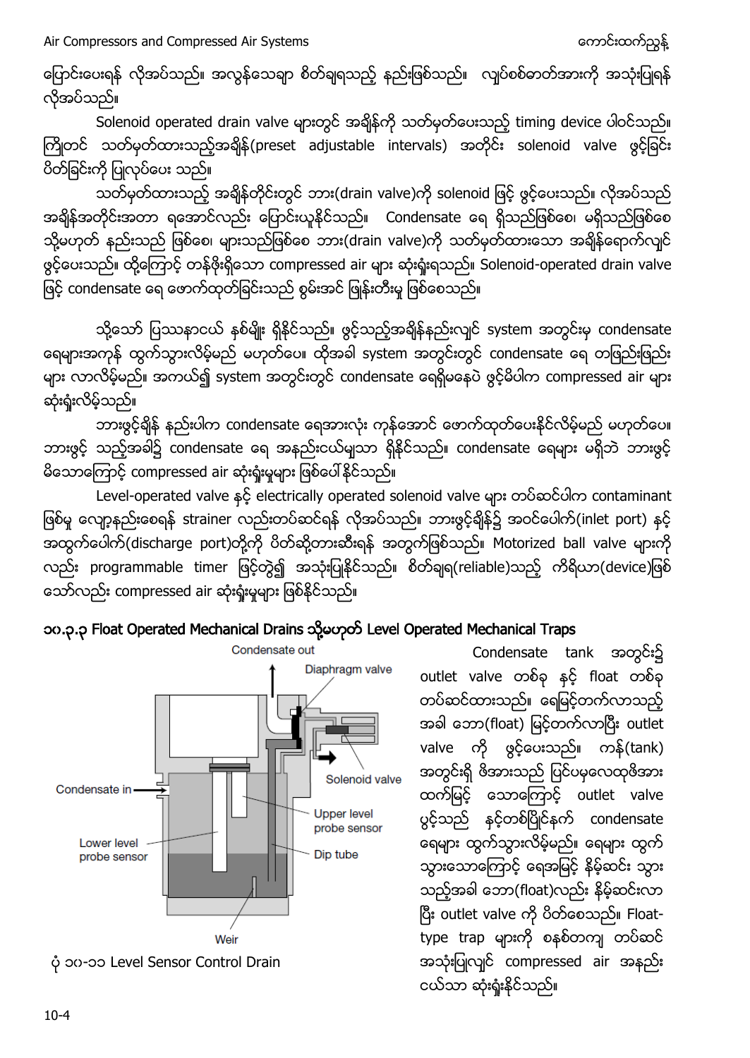Air Compressors and Compressed Air Systems and the state of the component of the component of the component of

ပြောင်းပေးရန် လိုအပ်သည်။ အလွန်သေချာ စိတ်ချရသည့် နည်းဖြစ်သည်။ လျပ်စစ်ဓာတ်အားကို အသုံးပြုရန် လိုအပ်သည်။

Solenoid operated drain valve များတွင် အရိုန်ကို သတ်မှတ်ပေးသည့် timing device ပါဝင်သည်။ ကြိုတင် သတ်မှတ်ထားသည့်အချိန်(preset adjustable intervals) အတိုင်း solenoid valve ဖွင့်ခြင်း ပိတ်ခြင်းကို ပြုလုပ်ပေး သည်။

သတ်မှတ်ထားသည့် အချိန်တိုင်းတွင် ဘား(drain valve)ကို solenoid ဖြင့် ဖွင့်ပေးသည်။ လိုအပ်သည် အရိန်အတိုင်းအတာ ရအောင်လည်း ပြောင်းယူနိုင်သည်။ Condensate ရေ ရှိသည်ဖြစ်စေ၊ မရှိသည်ဖြစ်စေ သို့မဟုတ် နည်းသည် ဖြစ်စေ၊ များသည်ဖြစ်စေ ဘား(drain valve)ကို သတ်မှတ်ထားသော အချိန်ရောက်လျင် ဖွင့်ပေးသည်။ ထို့ကြောင့် တန်ဖိုးရှိသော compressed air များ ဆုံးရှုံးရသည်။ Solenoid-operated drain valve ဖြင့် condensate ရေ ဖောက်ထုတ်ခြင်းသည် စွမ်းအင် ဖြုန်းတီးမှု ဖြစ်စေသည်။

သို့သော် ပြဿနာငယ် နစ်မျိုး ရှိနိုင်သည်။ ဖွင့်သည့်အချိန်နည်းလျင် system အတွင်းမှ condensate ရေများအကုန် ထွက်သွားလိမ့်မည် မဟုတ်ပေ။ ထိုအခါ system အတွင်းတွင် condensate ရေ တဖြည်းဖြည်း များ လာလိမ့်မည်။ အကယ်၍ system အတွင်းတွင် condensate ရေရှိမနေပဲ ဖွင့်မိပါက compressed air များ ဆုံးရှုံးလိမ့်သည်။

ဘားဖွင့်ချိန် နည်းပါက condensate ရေအားလုံး ကုန်အောင် ဖောက်ထုတ်ပေးနိုင်လိမ့်မည် မဟုတ်ပေ။ ဘားဗွင့် သည့်အခါ၌ condensate ရေ အနည်းငယ်မျသာ ရှိနိုင်သည်။ condensate ရေများ မရှိဘဲ ဘားဗွင့် မိသောကြောင့် compressed air ဆုံးရုံးမှုများ ဖြစ်ပေါ်နိုင်သည်။

Level-operated valve နှင့် electrically operated solenoid valve များ တပ်ဆင်ပါက contaminant ဖြစ်မှ လျော့နည်းစေရန် strainer လည်းတပ်ဆင်ရန် လိုအပ်သည်။ ဘားဖွင့်ချိန်၌ အဝင်ပေါက်(inlet port) နှင့် အထွက်ပေါက်(discharge port)တို့ကို ပိတ်ဆို့တားဆီးရန် အတွက်ဖြစ်သည်။ Motorized ball valve များကို လည်း programmable timer ဖြင့်တွဲ၍ အသုံးပြုနိုင်သည်။ စိတ်ချရ(reliable)သည့် ကိရိယာ(device)ဖြစ် သော်လည်း compressed air ဆုံးရှုံးမှုများ ဖြစ်နိုင်သည်။





Condensate tank အတွင်း၌ outlet valve တစ်ခု နှင့် float တစ်ခု တပ်ဆင်ထားသည်။ ရေမြင့်တက်လာသည့် အခါ ဘော(float) မြင့်တက်လာပြီး outlet valve ကို ဖွင့်ပေးသည်။ ကန်(tank) အတွင်းရှိ ဖိအားသည် ပြင်ပမှလေထုဖိအား ထက်မြင့် သောကြောင့် outlet valve ပွင့်သည် နှင့်တစ်ပြိုင်နက် condensate ရေများ ထွက်သွားလိမ့်မည်။ ရေများ ထွက် သွားသောကြောင့် ရေအမြင့် နိမ့်ဆင်း သွား သည့်အခါ ဘော(float)လည်း နိမ့်ဆင်းလာ ပြီး outlet valve ကို ပိတ်စေသည်။ Floattype trap များကို စနစ်တကျ တပ်ဆင် အသုံးပြုလျင် compressed air အနည်း ငယ်သာ ဆုံးရှုံးနိုင်သည်။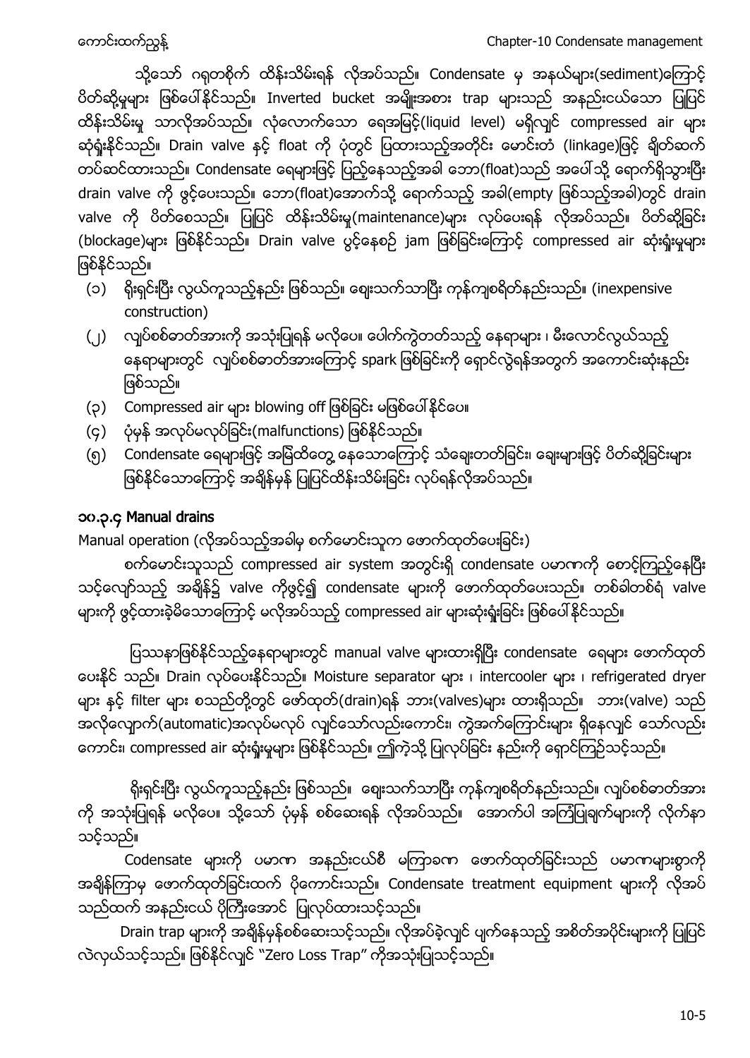သို့သော် ဂရုတစိုက် ထိန်းသိမ်းရန် လိုအပ်သည်။ Condensate မှ အနယ်များ(sediment)ကြောင့် ပိတ်ဆို့မှုများ ဖြစ်ပေါ်နိုင်သည်။ Inverted bucket အမျိုးအစား trap များသည် အနည်းငယ်သော ပြုပြင် ထိန်းသိမ်းမှု သာလိုအပ်သည်။ လုံလောက်သော ရေအမြင့်(liquid level) မရှိလျင် compressed air များ ဆုံရှုံးနိုင်သည်။ Drain valve နှင့် float ကို ပုံတွင် ပြထားသည့်အတိုင်း မောင်းတံ (linkage)ဖြင့် ရိုတ်ဆက် တပ်ဆင်ထားသည်။ Condensate ရေများဖြင့် ပြည့်နေသည့်အခါ ဘော(float)သည် အပေါ်သို့ ရောက်ရှိသွားပြီး drain valve ကို ဖွင့်ပေးသည်။ ဘော(float)အောက်သို့ ရောက်သည့် အခါ(empty ဖြစ်သည့်အခါ)တွင် drain valve ကို ပိတ်စေသည်။ ပြုပြင် ထိန်းသိမ်းမှု(maintenance)များ လုပ်ပေးရန် လိုအပ်သည်။ ပိတ်ဆို့ခြင်း (blockage)များ ဖြစ်နိုင်သည်။ Drain valve ပွင့်နေစဉ် jam ဖြစ်ခြင်းကြောင့် compressed air ဆုံးရှုံးမှုများ ဖြစ်နိုင်သည်။

- (၁) ရိုးရှင်းပြီး လွယ်ကူသည့်နည်း ဖြစ်သည်။ ဈေးသက်သာပြီး ကုန်ကျစရိတ်နည်းသည်။ (inexpensive construction)
- (၂) လျှပ်စစ်ဓာတ်အားကို အသုံးပြုရန် မလိုပေ။ ပေါက်ကွဲတတ်သည့် နေရာများ ၊ မီးလောင်လွယ်သည့် နေရာများတွင် လျှပ်စစ်ဓာတ်အားကြောင့် spark ဖြစ်ခြင်းကို ရှောင်လွဲရန်အတွက် အကောင်းဆုံးနည်း ဖြစ်သည်။
- (၃) Compressed air များ blowing off ဖြစ်ခြင်း မဖြစ်ပေါ်နိုင်ပေ။
- (၄) ပုံမှန် အလုပ်မလုပ်ခြင်း(malfunctions) ဖြစ်နိုင်သည်။
- (၅) Condensate ရေများဖြင့် အမြဲထိတွေ့ နေသောကြောင့် သံချေးတတ်ခြင်း၊ ချေးများဖြင့် ပိတ်ဆို့ခြင်းများ ဖြစ်နိုင်သောကြောင့် အချိန်မှန် ပြုပြင်ထိန်းသိမ်းခြင်း လုပ်ရန်လိုအပ်သည်။

### ၁၀.၃.၄ Manual drains

## Manual operation (လိုအပ်သည့်အခါမှ စက်မောင်းသူက ဖောက်ထုတ်ပေးခြင်း)

စက်မောင်းသူသည် compressed air system အတွင်းရှိ condensate ပမာဏကို စောင့်ကြည့်နေပြီး သင့်လျော်သည့် အရိန်၌ valve ကိုဖွင့်၍ condensate များကို ဖောက်ထုတ်ပေးသည်။ တစ်ခါတစ်ရံ valve များကို ဖွင့်ထားခဲ့မိသောကြောင့် မလိုအပ်သည့် compressed air များဆုံးရှုံးခြင်း ဖြစ်ပေါ်နိုင်သည်။

ပြဿနာဖြစ်နိုင်သည့်နေရာများတွင် manual valve များထားရှိပြီး condensate ဓရများ ဖောက်ထုတ် ပေးနိုင် သည်။ Drain လုပ်ပေးနိုင်သည်။ Moisture separator များ ၊ intercooler များ ၊ refrigerated dryer များ နှင့် filter များ စသည်တို့တွင် ဖော်ထုတ်(drain)ရန် ဘား(valves)များ ထားရှိသည်။ ဘား(valve) သည် အလိုလျောက်(automatic)အလုပ်မလုပ် လျင်သော်လည်းကောင်း၊ ကွဲအက်ကြောင်းများ ရှိနေလျင် သော်လည်း ကောင်း၊ compressed air ဆုံးရုံးမှုများ ဖြစ်နိုင်သည်။ ဤကဲ့သို့ ပြုလုပ်ခြင်း နည်းကို ရှောင်ကြဉ်သင့်သည်။

ရိုးရှင်းပြီး လွယ်ကူသည့်နည်း ဖြစ်သည်။ စျေးသက်သာပြီး ကုန်ကျစရိတ်နည်းသည်။ လျှပ်စစ်ဓာတ်အား ကို အသုံးပြုရန် မလိုပေ။ သို့သော် ပုံမှန် စစ်ဆေးရန် လိုအပ်သည်။ အောက်ပါ အကြံပြုချက်များကို လိုက်နာ သင့်သည်။

Codensate များကို ပမာဏ အနည်းငယ်စီ မကြာခဏ ဖောက်ထုတ်ခြင်းသည် ပမာဏများစွာကို အချိန်ကြာမှ ဖောက်ထုတ်ခြင်းထက် ပိုကောင်းသည်။ Condensate treatment equipment များကို လိုအပ် သည်ထက် အနည်းငယ် ပိုကြီးအောင် ပြုလုပ်ထားသင့်သည်။

Drain trap များကို အချိန်မှန်စစ်ဆေးသင့်သည်။ လိုအပ်ခဲ့လျင် ပျက်နေသည့် အစိတ်အပိုင်းများကို ပြုပြင် လဲလှယ်သင့်သည်။ ဖြစ်နိုင်လျင် "Zero Loss Trap" ကိုအသုံးပြုသင့်သည်။